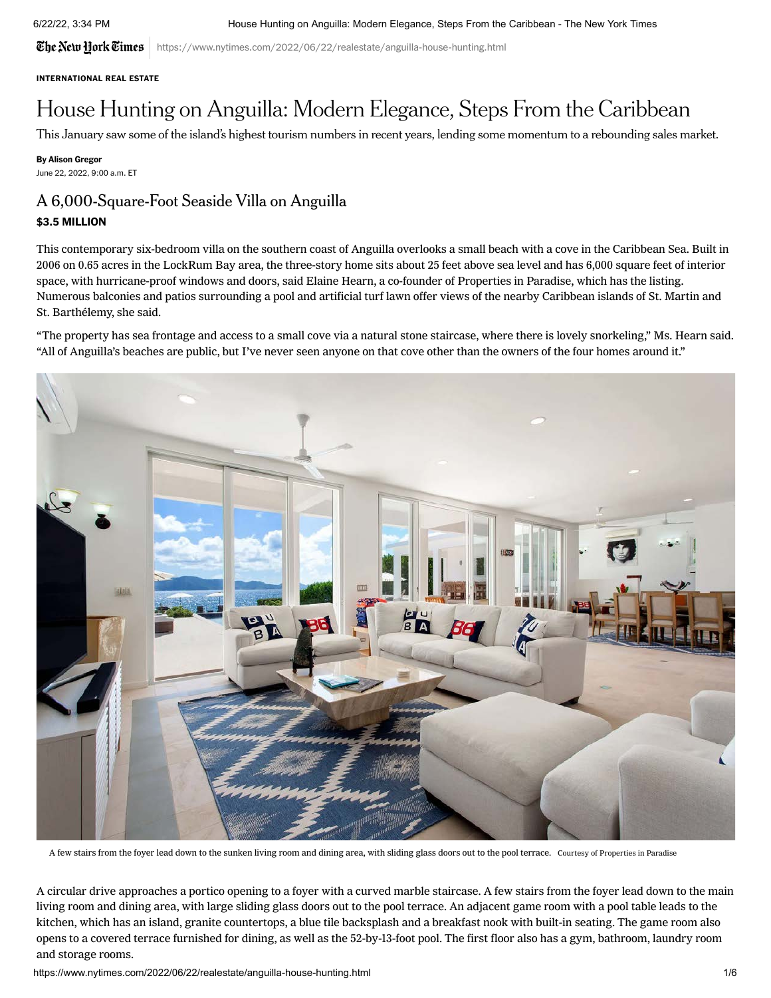6/22/22, 3:34 PM House Hunting on Anguilla: Modern Elegance, Steps From the Caribbean - The New York Times

**The Netu Hork Times** | https://www.nytimes.com/2022/06/22/realestate/anguilla-house-hunting.html

#### INTERNATIONAL REAL ESTATE

# House Hunting on Anguilla: Modern Elegance, Steps From the Caribbean

This January saw some of the island's highest tourism numbers in recent years, lending some momentum to a rebounding sales market.

#### By Alison Gregor

June 22, 2022, 9:00 a.m. ET

# A 6,000-Square-Foot Seaside Villa on Anguilla

### \$3.5 MILLION

This contemporary six-bedroom [villa](https://propertiesinparadise.com/forsale/details/180) on the southern coast of Anguilla overlooks a small beach with a cove in the Caribbean Sea. Built in 2006 on 0.65 acres in the LockRum Bay area, the three-story home sits about 25 feet above sea level and has 6,000 square feet of interior space, with hurricane-proof windows and doors, said Elaine Hearn, a co-founder of Properties in Paradise, which has the listing. Numerous balconies and patios surrounding a pool and artificial turf lawn offer views of the nearby Caribbean islands of St. Martin and St. Barthélemy, she said.

"The property has sea frontage and access to a small cove via a natural stone staircase, where there is lovely snorkeling," Ms. Hearn said. "All of Anguilla's beaches are public, but I've never seen anyone on that cove other than the owners of the four homes around it."



A few stairs from the foyer lead down to the sunken living room and dining area, with sliding glass doors out to the pool terrace. Courtesy of Properties in Paradise

A circular drive approaches a portico opening to a foyer with a curved marble staircase. A few stairs from the foyer lead down to the main living room and dining area, with large sliding glass doors out to the pool terrace. An adjacent game room with a pool table leads to the kitchen, which has an island, granite countertops, a blue tile backsplash and a breakfast nook with built-in seating. The game room also opens to a covered terrace furnished for dining, as well as the 52-by-13-foot pool. The first floor also has a gym, bathroom, laundry room and storage rooms.

https://www.nytimes.com/2022/06/22/realestate/anguilla-house-hunting.html 1/6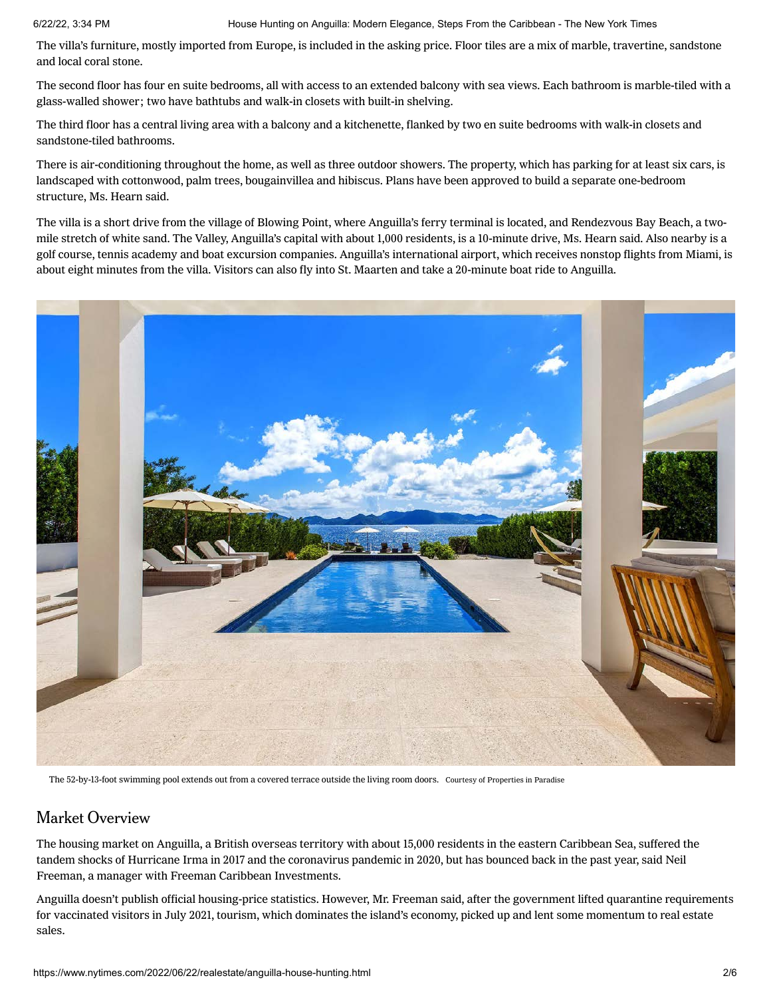The villa's furniture, mostly imported from Europe, is included in the asking price. Floor tiles are a mix of marble, travertine, sandstone and local coral stone.

The second floor has four en suite bedrooms, all with access to an extended balcony with sea views. Each bathroom is marble-tiled with a glass-walled shower; two have bathtubs and walk-in closets with built-in shelving.

The third floor has a central living area with a balcony and a kitchenette, flanked by two en suite bedrooms with walk-in closets and sandstone-tiled bathrooms.

There is air-conditioning throughout the home, as well as three outdoor showers. The property, which has parking for at least six cars, is landscaped with cottonwood, palm trees, bougainvillea and hibiscus. Plans have been approved to build a separate one-bedroom structure, Ms. Hearn said.

The villa is a short drive from the village of Blowing Point, where Anguilla's ferry terminal is located, and Rendezvous Bay Beach, a twomile stretch of white sand. The Valley, Anguilla's capital with about 1,000 residents, is a 10-minute drive, Ms. Hearn said. Also nearby is a golf course, tennis academy and boat excursion companies. Anguilla's international airport, which receives nonstop flights from Miami, is about eight minutes from the villa. Visitors can also fly into St. Maarten and take a 20-minute boat ride to Anguilla.



The 52-by-13-foot swimming pool extends out from a covered terrace outside the living room doors. Courtesy of Properties in Paradise

# Market Overview

The housing market on Anguilla, a British overseas territory with about 15,000 residents in the eastern Caribbean Sea, suffered the tandem shocks of Hurricane Irma in 2017 and the coronavirus pandemic in 2020, but has bounced back in the past year, said Neil Freeman, a manager with Freeman Caribbean Investments.

Anguilla doesn't publish official housing-price statistics. However, Mr. Freeman said, after the government lifted quarantine requirements for vaccinated visitors in July 2021, tourism, which dominates the island's economy, picked up and lent some momentum to real estate sales.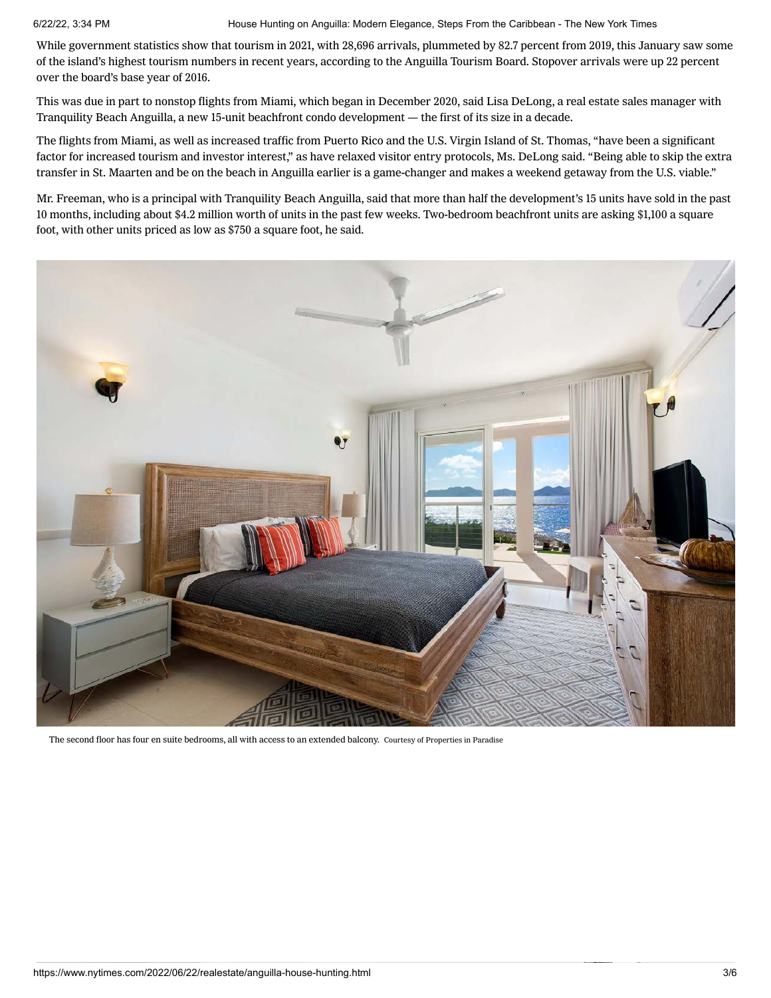6/22/22, 3:34 PM House Hunting on Anguilla: Modern Elegance, Steps From the Caribbean - The New York Times

While government statistics show that tourism in 2021, with 28,696 arrivals, plummeted by 82.7 percent from 2019, this January saw some of the island's highest tourism numbers in recent years, according to the Anguilla Tourism Board. Stopover arrivals were up 22 percent over the board's base year of 2016.

This was due in part to nonstop flights from Miami, which began in December 2020, said Lisa DeLong, a real estate sales manager with Tranquility Beach Anguilla, a new 15-unit beachfront condo development — the first of its size in a decade.

The flights from Miami, as well as increased traffic from Puerto Rico and the U.S. Virgin Island of St. Thomas, "have been a significant factor for increased tourism and investor interest," as have relaxed visitor entry protocols, Ms. DeLong said. "Being able to skip the extra transfer in St. Maarten and be on the beach in Anguilla earlier is a game-changer and makes a weekend getaway from the U.S. viable."

Mr. Freeman, who is a principal with Tranquility Beach Anguilla, said that more than half the development's 15 units have sold in the past 10 months, including about \$4.2 million worth of units in the past few weeks. Two-bedroom beachfront units are asking \$1,100 a square foot, with other units priced as low as \$750 a square foot, he said.



The second floor has four en suite bedrooms, all with access to an extended balcony. Courtesy of Properties in Paradise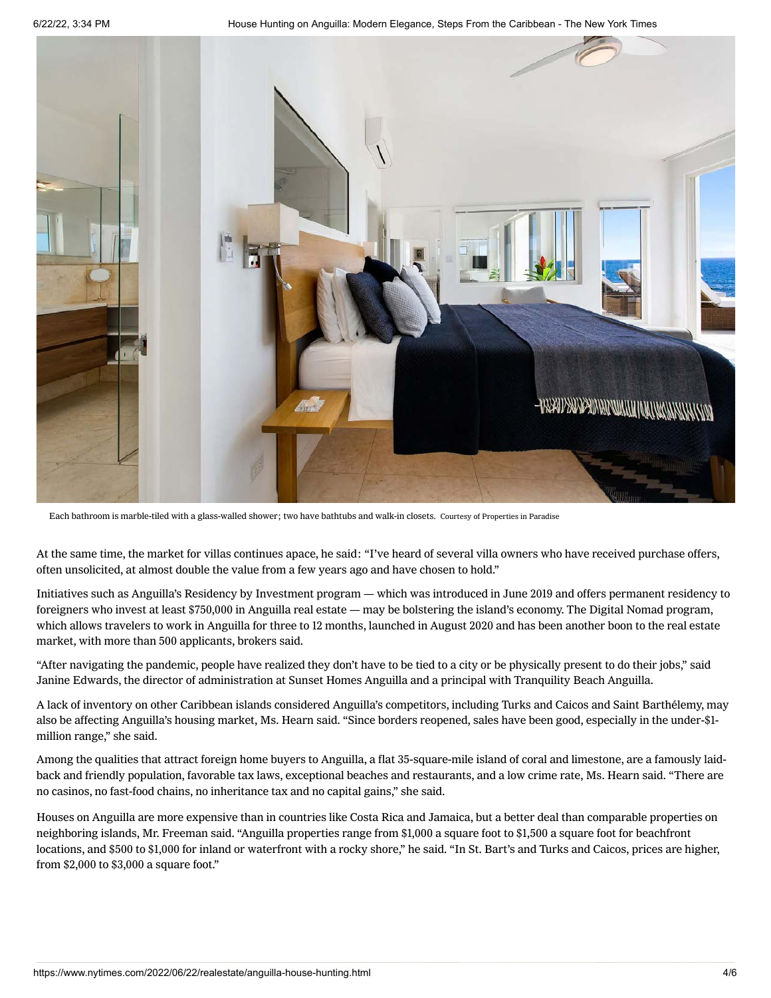

Each bathroom is marble-tiled with a glass-walled shower; two have bathtubs and walk-in closets. Courtesy of Properties in Paradise

At the same time, the market for villas continues apace, he said: "I've heard of several villa owners who have received purchase offers, often unsolicited, at almost double the value from a few years ago and have chosen to hold."

Initiatives such as Anguilla's Residency by Investment program — which was introduced in June 2019 and offers permanent residency to foreigners who invest at least \$750,000 in Anguilla real estate — may be bolstering the island's economy. The Digital Nomad program, which allows travelers to work in Anguilla for three to 12 months, launched in August 2020 and has been another boon to the real estate market, with more than 500 applicants, brokers said.

"After navigating the pandemic, people have realized they don't have to be tied to a city or be physically present to do their jobs," said Janine Edwards, the director of administration at Sunset Homes Anguilla and a principal with Tranquility Beach Anguilla.

A lack of inventory on other Caribbean islands considered Anguilla's competitors, including [Turks and Caicos](https://www.nytimes.com/2021/09/08/realestate/house-hunting-turks-and-caicos.html) and Saint Barthélemy, may also be affecting Anguilla's housing market, Ms. Hearn said. "Since borders reopened, sales have been good, especially in the under-\$1 million range," she said.

Among the qualities that attract foreign home buyers to Anguilla, a flat 35-square-mile island of coral and limestone, are a famously laidback and friendly population, favorable tax laws, exceptional beaches and restaurants, and a low crime rate, Ms. Hearn said. "There are no casinos, no fast-food chains, no inheritance tax and no capital gains," she said.

Houses on Anguilla are more expensive than in countries like Costa Rica and Jamaica, but a better deal than comparable properties on neighboring islands, Mr. Freeman said. "Anguilla properties range from \$1,000 a square foot to \$1,500 a square foot for beachfront locations, and \$500 to \$1,000 for inland or waterfront with a rocky shore," he said. "In St. Bart's and Turks and Caicos, prices are higher, from \$2,000 to \$3,000 a square foot."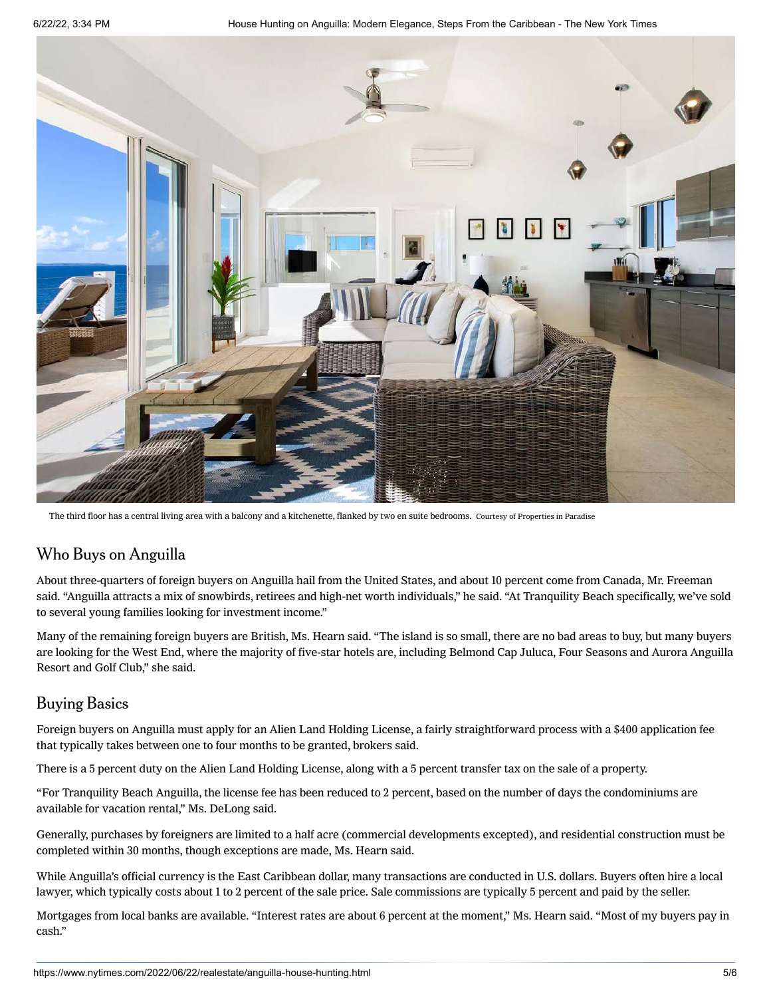

The third floor has a central living area with a balcony and a kitchenette, flanked by two en suite bedrooms. Courtesy of Properties in Paradise

# Who Buys on Anguilla

About three-quarters of foreign buyers on Anguilla hail from the United States, and about 10 percent come from Canada, Mr. Freeman said. "Anguilla attracts a mix of snowbirds, retirees and high-net worth individuals," he said. "At Tranquility Beach specifically, we've sold to several young families looking for investment income."

Many of the remaining foreign buyers are British, Ms. Hearn said. "The island is so small, there are no bad areas to buy, but many buyers are looking for the West End, where the majority of five-star hotels are, including Belmond Cap Juluca, Four Seasons and Aurora Anguilla Resort and Golf Club," she said.

# Buying Basics

Foreign buyers on Anguilla must apply for an Alien Land Holding License, a fairly straightforward process with a \$400 application fee that typically takes between one to four months to be granted, brokers said.

There is a 5 percent duty on the Alien Land Holding License, along with a 5 percent transfer tax on the sale of a property.

"For Tranquility Beach Anguilla, the license fee has been reduced to 2 percent, based on the number of days the condominiums are available for vacation rental," Ms. DeLong said.

Generally, purchases by foreigners are limited to a half acre (commercial developments excepted), and residential construction must be completed within 30 months, though exceptions are made, Ms. Hearn said.

While Anguilla's official currency is the East Caribbean dollar, many transactions are conducted in U.S. dollars. Buyers often hire a local lawyer, which typically costs about 1 to 2 percent of the sale price. Sale commissions are typically 5 percent and paid by the seller.

Mortgages from local banks are available. "Interest rates are about 6 percent at the moment," Ms. Hearn said. "Most of my buyers pay in cash."